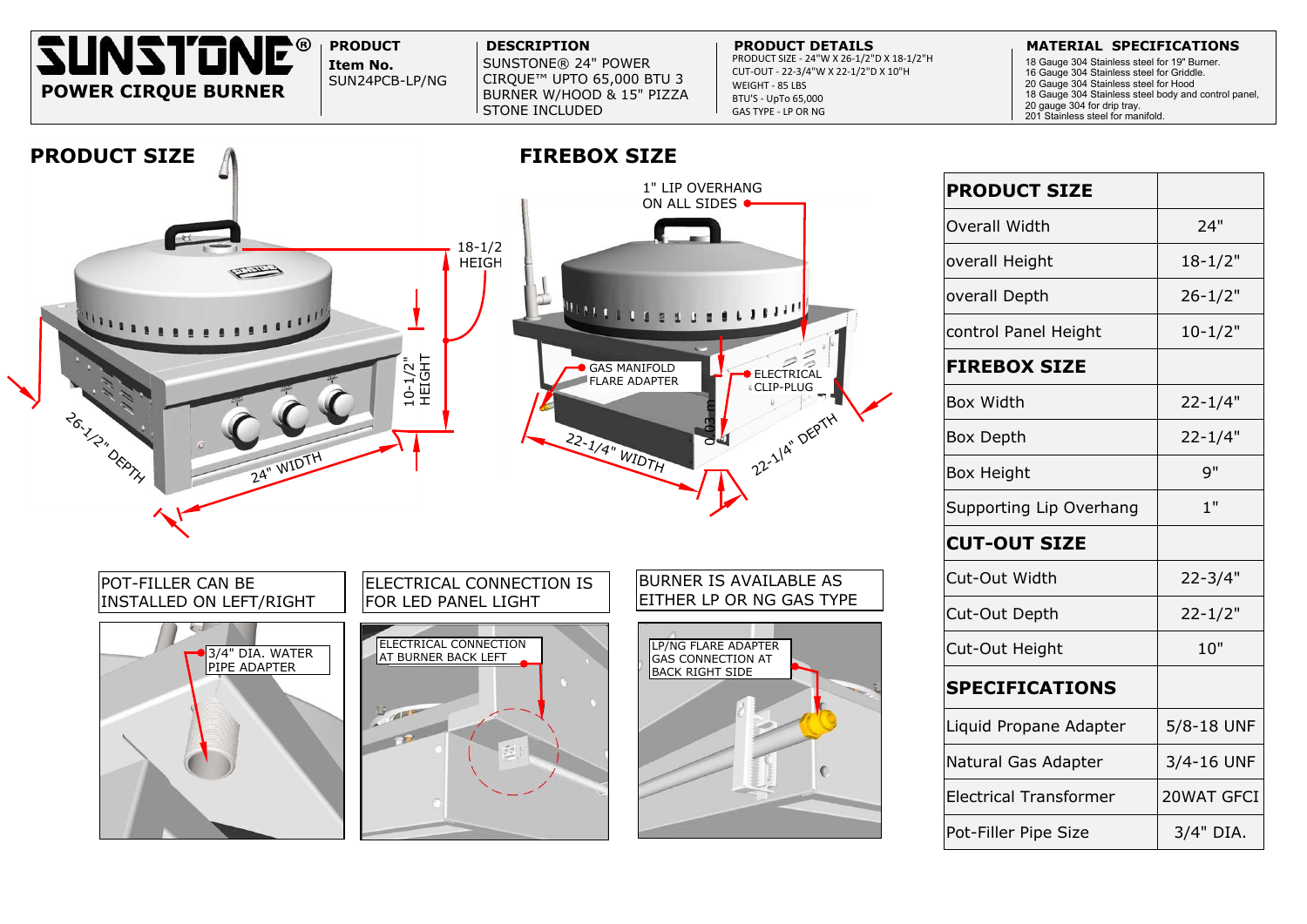**Item No.** SUNSTONE® 24" POWER CIRQUE™ UPTO 65,000 BTU 3 BURNER W/HOOD & 15" PIZZA STONE INCLUDED

### **PRODUCT DESCRIPTION PRODUCT DETAILS MATERIAL SPECIFICATIONS**

SUN24PCB-LP/NG





PRODUCT SIZE - 24"W X 26-1/2"D X 18-1/2"H CUT-OUT - 22-3/4"W X 22-1/2"D X 10"H WEIGHT - 85 LBS BTU'S - UpTo 65,000 GAS TYPE - LP OR NG

|                                         | <b>PRODUCT SIZE</b>           |             |
|-----------------------------------------|-------------------------------|-------------|
| н.<br>TRICAL<br><b>PLUG</b><br>A" DEPTH | <b>Overall Width</b>          | 24"         |
|                                         | overall Height                | $18 - 1/2"$ |
|                                         | overall Depth                 | $26 - 1/2"$ |
|                                         | control Panel Height          | $10 - 1/2"$ |
|                                         | <b>FIREBOX SIZE</b>           |             |
|                                         | <b>Box Width</b>              | $22 - 1/4"$ |
|                                         | <b>Box Depth</b>              | $22 - 1/4"$ |
|                                         | <b>Box Height</b>             | 9"          |
|                                         | Supporting Lip Overhang       | 1"          |
|                                         | <b>CUT-OUT SIZE</b>           |             |
| <b>BLE AS</b><br><b>GAS TYPE</b>        | Cut-Out Width                 | $22 - 3/4"$ |
|                                         | Cut-Out Depth                 | $22 - 1/2"$ |
|                                         | <b>Cut-Out Height</b>         | 10"         |
|                                         | <b>SPECIFICATIONS</b>         |             |
|                                         | Liquid Propane Adapter        | 5/8-18 UNF  |
|                                         | Natural Gas Adapter           | 3/4-16 UNF  |
|                                         | <b>Electrical Transformer</b> | 20WAT GFCI  |
|                                         | Pot-Filler Pipe Size          | 3/4" DIA.   |

18 Gauge 304 Stainless steel for 19" Burner.

- 16 Gauge 304 Stainless steel for Griddle.
- 20 Gauge 304 Stainless steel for Hood
- 18 Gauge 304 Stainless steel body and control panel,
- 20 gauge 304 for drip tray. 201 Stainless steel for manifold.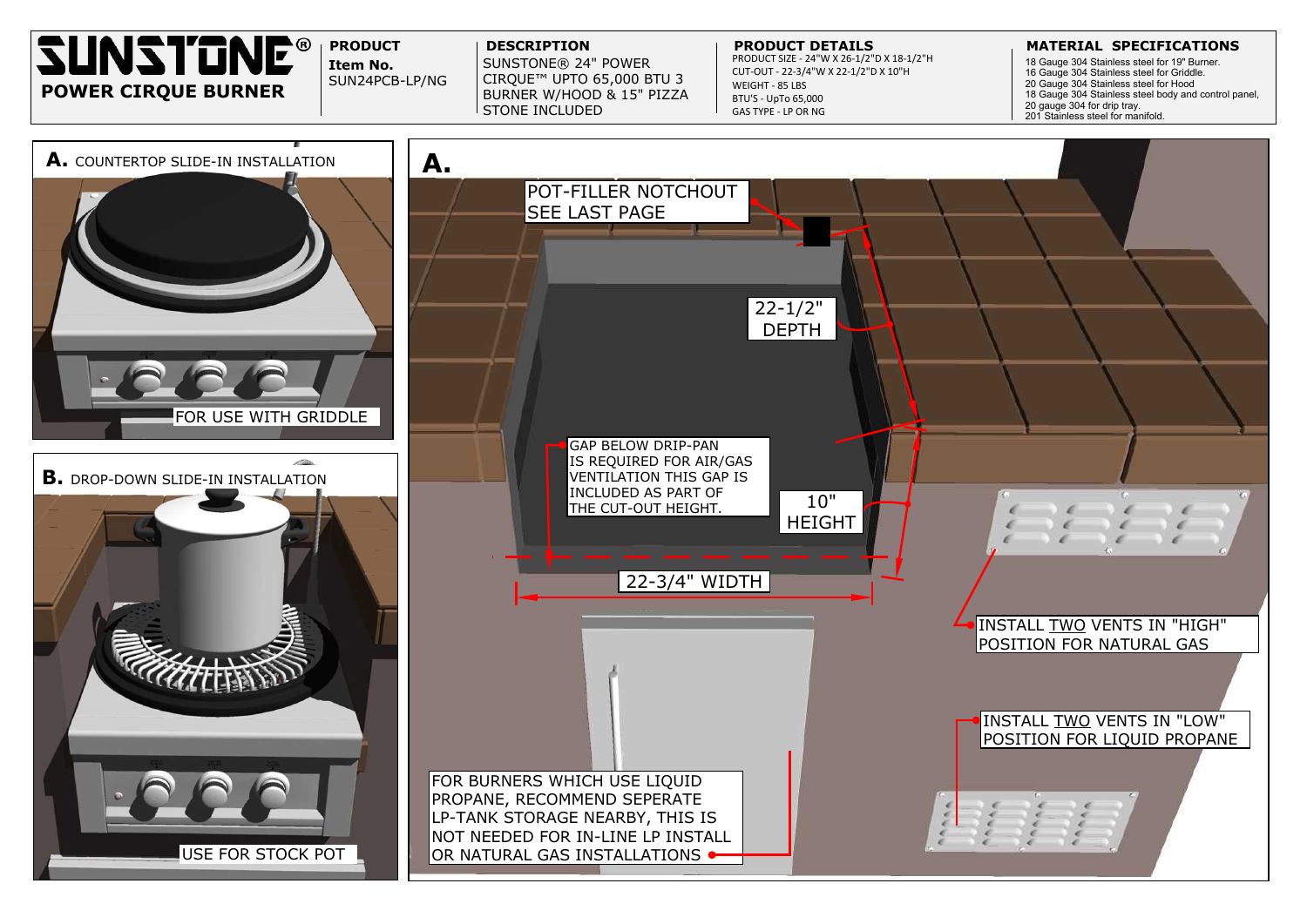# POSITION FOR LIQUID PROPANE



**Item No.** SUNSTONE® 24" POWER CIRQUE™ UPTO 65,000 BTU 3 BURNER W/HOOD & 15" PIZZA STONE INCLUDED

## **PRODUCT DESCRIPTION PRODUCT DETAILS MATERIAL SPECIFICATIONS**

SUN24PCB-LP/NG



PRODUCT SIZE - 24"W X 26-1/2"D X 18-1/2"H CUT-OUT - 22-3/4"W X 22-1/2"D X 10"H WEIGHT - 85 LBS BTU'S - UpTo 65,000 GAS TYPE - LP OR NG

 Gauge 304 Stainless steel for 19" Burner. Gauge 304 Stainless steel for Griddle. Gauge 304 Stainless steel for Hood Gauge 304 Stainless steel body and control panel, gauge 304 for drip tray. Stainless steel for manifold.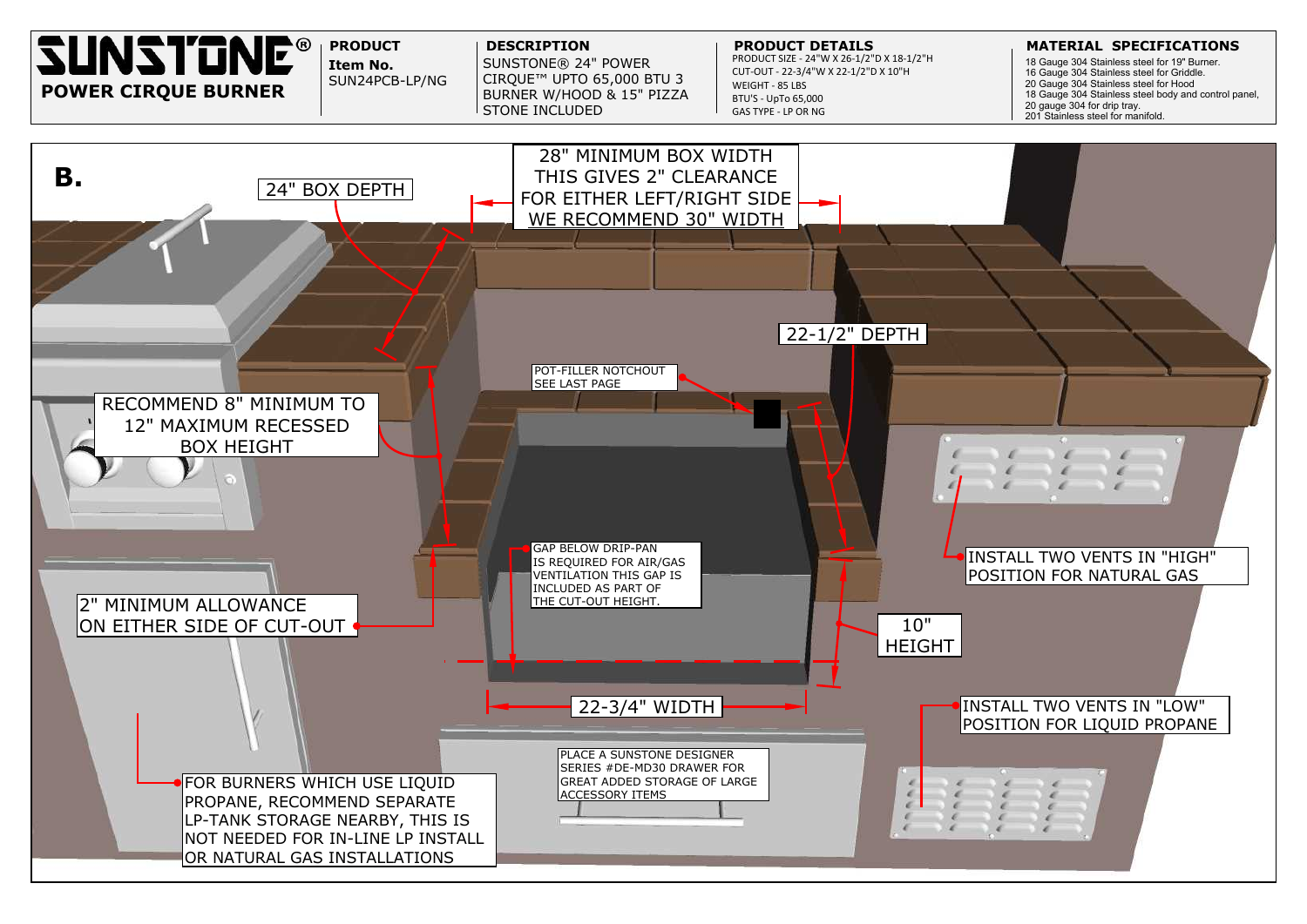

# INSTALL TWO VENTS IN "HIGH" POSITION FOR NATURAL GAS

# INSTALL TWO VENTS IN "LOW" POSITION FOR LIQUID PROPANE

 Gauge 304 Stainless steel for 19" Burner. Gauge 304 Stainless steel for Griddle. Gauge 304 Stainless steel for Hood Gauge 304 Stainless steel body and control panel, gauge 304 for drip tray. 201 Stainless steel for manifold.

![](_page_2_Picture_0.jpeg)